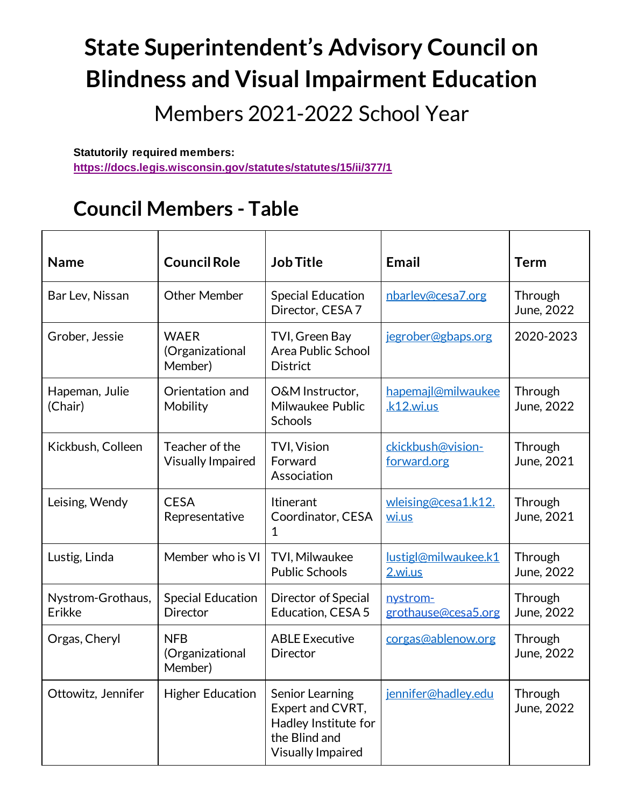# **State Superintendent's Advisory Council on Blindness and Visual Impairment Education**

Members 2021-2022 School Year

**Statutorily required members: <https://docs.legis.wisconsin.gov/statutes/statutes/15/ii/377/1>**

### **Council Members - Table**

| <b>Name</b>                 | <b>Council Role</b>                         | <b>Job Title</b>                                                                                         | <b>Email</b>                     | <b>Term</b>           |
|-----------------------------|---------------------------------------------|----------------------------------------------------------------------------------------------------------|----------------------------------|-----------------------|
| Bar Lev, Nissan             | <b>Other Member</b>                         | <b>Special Education</b><br>Director, CESA 7                                                             | nbarlev@cesa7.org                | Through<br>June, 2022 |
| Grober, Jessie              | <b>WAER</b><br>(Organizational<br>Member)   | TVI, Green Bay<br><b>Area Public School</b><br><b>District</b>                                           | jegrober@gbaps.org               | 2020-2023             |
| Hapeman, Julie<br>(Chair)   | Orientation and<br>Mobility                 | O&M Instructor,<br>Milwaukee Public<br>Schools                                                           | hapemajl@milwaukee<br>k12.wi.us  | Through<br>June, 2022 |
| Kickbush, Colleen           | Teacher of the<br><b>Visually Impaired</b>  | <b>TVI, Vision</b><br>Forward<br>Association                                                             | ckickbush@vision-<br>forward.org | Through<br>June, 2021 |
| Leising, Wendy              | <b>CESA</b><br>Representative               | Itinerant<br>Coordinator, CESA<br>1                                                                      | wleising@cesa1.k12.<br>wi.us     | Through<br>June, 2021 |
| Lustig, Linda               | Member who is VI                            | TVI, Milwaukee<br><b>Public Schools</b>                                                                  | lustigl@milwaukee.k1<br>2.wi.us  | Through<br>June, 2022 |
| Nystrom-Grothaus,<br>Erikke | <b>Special Education</b><br><b>Director</b> | Director of Special<br><b>Education, CESA 5</b>                                                          | nystrom-<br>grothause@cesa5.org  | Through<br>June, 2022 |
| Orgas, Cheryl               | <b>NFB</b><br>(Organizational<br>Member)    | <b>ABLE Executive</b><br>Director                                                                        | corgas@ablenow.org               | Through<br>June, 2022 |
| Ottowitz, Jennifer          | <b>Higher Education</b>                     | Senior Learning<br>Expert and CVRT,<br>Hadley Institute for<br>the Blind and<br><b>Visually Impaired</b> | jennifer@hadley.edu              | Through<br>June, 2022 |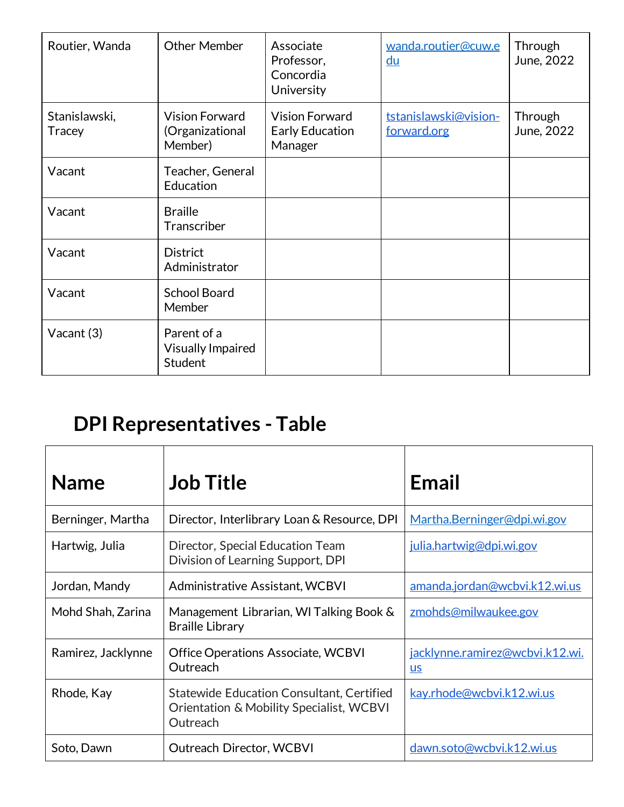| Routier, Wanda                 | <b>Other Member</b>                                 | Associate<br>Professor,<br>Concordia<br>University  | wanda.routier@cuw.e<br>du            | Through<br>June, 2022 |
|--------------------------------|-----------------------------------------------------|-----------------------------------------------------|--------------------------------------|-----------------------|
| Stanislawski,<br><b>Tracey</b> | <b>Vision Forward</b><br>(Organizational<br>Member) | <b>Vision Forward</b><br>Early Education<br>Manager | tstanislawski@vision-<br>forward.org | Through<br>June, 2022 |
| Vacant                         | Teacher, General<br>Education                       |                                                     |                                      |                       |
| Vacant                         | <b>Braille</b><br>Transcriber                       |                                                     |                                      |                       |
| Vacant                         | <b>District</b><br>Administrator                    |                                                     |                                      |                       |
| Vacant                         | <b>School Board</b><br>Member                       |                                                     |                                      |                       |
| Vacant (3)                     | Parent of a<br><b>Visually Impaired</b><br>Student  |                                                     |                                      |                       |

## **DPI Representatives - Table**

| <b>Name</b>        | <b>Job Title</b>                                                                                         | Email                                          |
|--------------------|----------------------------------------------------------------------------------------------------------|------------------------------------------------|
| Berninger, Martha  | Director, Interlibrary Loan & Resource, DPI                                                              | Martha.Berninger@dpi.wi.gov                    |
| Hartwig, Julia     | Director, Special Education Team<br>Division of Learning Support, DPI                                    | <u>julia.hartwig@dpi.wi.gov</u>                |
| Jordan, Mandy      | Administrative Assistant, WCBVI                                                                          | amanda.jordan@wcbvi.k12.wi.us                  |
| Mohd Shah, Zarina  | Management Librarian, WI Talking Book &<br><b>Braille Library</b>                                        | zmohds@milwaukee.gov                           |
| Ramirez, Jacklynne | Office Operations Associate, WCBVI<br>Outreach                                                           | <u>jacklynne.ramirez@wcbvi.k12.wi.</u><br>$us$ |
| Rhode, Kay         | <b>Statewide Education Consultant, Certified</b><br>Orientation & Mobility Specialist, WCBVI<br>Outreach | kay.rhode@wcbvi.k12.wi.us                      |
| Soto, Dawn         | <b>Outreach Director, WCBVI</b>                                                                          | dawn.soto@wcbvi.k12.wi.us                      |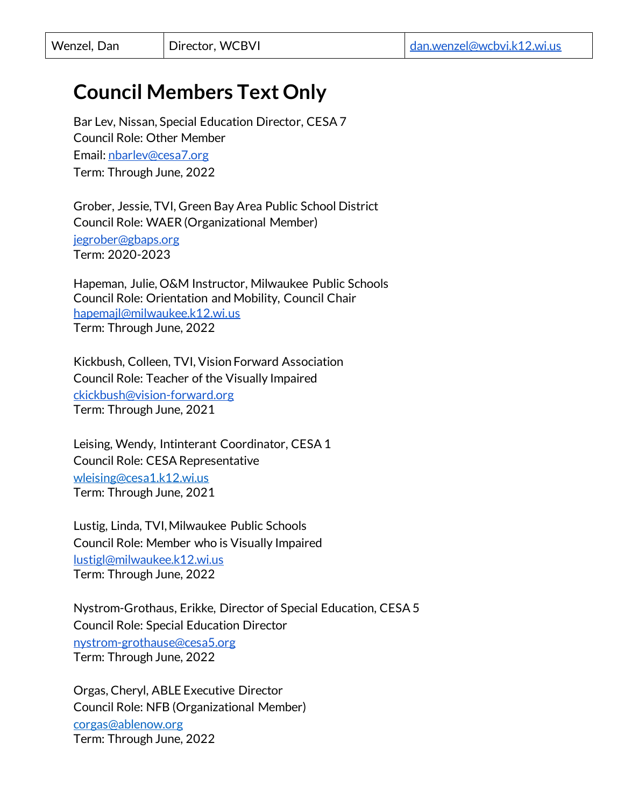### **Council Members Text Only**

Bar Lev, Nissan, Special Education Director, CESA 7 Council Role: Other Member Email: [nbarlev@cesa7.org](mailto:nbarlev@cesa7.org) Term: Through June, 2022

Grober, Jessie, TVI, Green Bay Area Public School District Council Role: WAER (Organizational Member) [jegrober@gbaps.org](mailto:jegrober@gbaps.org) Term: 2020-2023

Hapeman, Julie, O&M Instructor, Milwaukee Public Schools Council Role: Orientation and Mobility, Council Chair [hapemajl@milwaukee.k12.wi.us](mailto:hapemajl@milwaukee.k12.wi.us) Term: Through June, 2022

Kickbush, Colleen, TVI, Vision Forward Association Council Role: Teacher of the Visually Impaired [ckickbush@vision-forward.org](mailto:ckickbush@vision-forward.org) Term: Through June, 2021

Leising, Wendy, Intinterant Coordinator, CESA 1 Council Role: CESA Representative wleising@cesa1.k12.wi.us Term: Through June, 2021

Lustig, Linda, TVI, Milwaukee Public Schools Council Role: Member who is Visually Impaired [lustigl@milwaukee.k12.wi.us](mailto:lustigl@milwaukee.k12.wi.us) Term: Through June, 2022

Nystrom-Grothaus, Erikke, Director of Special Education, CESA 5 Council Role: Special Education Director [nystrom-grothause@cesa5.org](mailto:nystrom-grothause@cesa5.org) Term: Through June, 2022

Orgas, Cheryl, ABLE Executive Director Council Role: NFB (Organizational Member)

corgas@ablenow.org Term: Through June, 2022